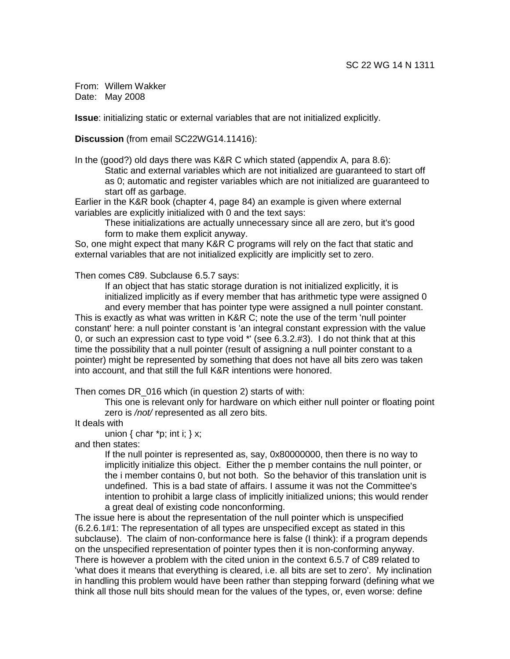From: Willem Wakker Date: May 2008

**Issue**: initializing static or external variables that are not initialized explicitly.

**Discussion** (from email SC22WG14.11416):

In the (good?) old days there was K&R C which stated (appendix A, para 8.6): Static and external variables which are not initialized are guaranteed to start off as 0; automatic and register variables which are not initialized are guaranteed to start off as garbage.

Earlier in the K&R book (chapter 4, page 84) an example is given where external variables are explicitly initialized with 0 and the text says:

These initializations are actually unnecessary since all are zero, but it's good form to make them explicit anyway.

So, one might expect that many K&R C programs will rely on the fact that static and external variables that are not initialized explicitly are implicitly set to zero.

Then comes C89. Subclause 6.5.7 says:

If an object that has static storage duration is not initialized explicitly, it is initialized implicitly as if every member that has arithmetic type were assigned 0 and every member that has pointer type were assigned a null pointer constant.

This is exactly as what was written in K&R C; note the use of the term 'null pointer constant' here: a null pointer constant is 'an integral constant expression with the value 0, or such an expression cast to type void \*' (see 6.3.2.#3). I do not think that at this time the possibility that a null pointer (result of assigning a null pointer constant to a pointer) might be represented by something that does not have all bits zero was taken into account, and that still the full K&R intentions were honored.

Then comes DR\_016 which (in question 2) starts of with:

This one is relevant only for hardware on which either null pointer or floating point zero is /not/ represented as all zero bits.

It deals with

union { char  $*p$ ; int i; } x;

and then states:

If the null pointer is represented as, say, 0x80000000, then there is no way to implicitly initialize this object. Either the p member contains the null pointer, or the i member contains 0, but not both. So the behavior of this translation unit is undefined. This is a bad state of affairs. I assume it was not the Committee's intention to prohibit a large class of implicitly initialized unions; this would render a great deal of existing code nonconforming.

The issue here is about the representation of the null pointer which is unspecified (6.2.6.1#1: The representation of all types are unspecified except as stated in this subclause). The claim of non-conformance here is false (I think): if a program depends on the unspecified representation of pointer types then it is non-conforming anyway. There is however a problem with the cited union in the context 6.5.7 of C89 related to 'what does it means that everything is cleared, i.e. all bits are set to zero'. My inclination in handling this problem would have been rather than stepping forward (defining what we think all those null bits should mean for the values of the types, or, even worse: define